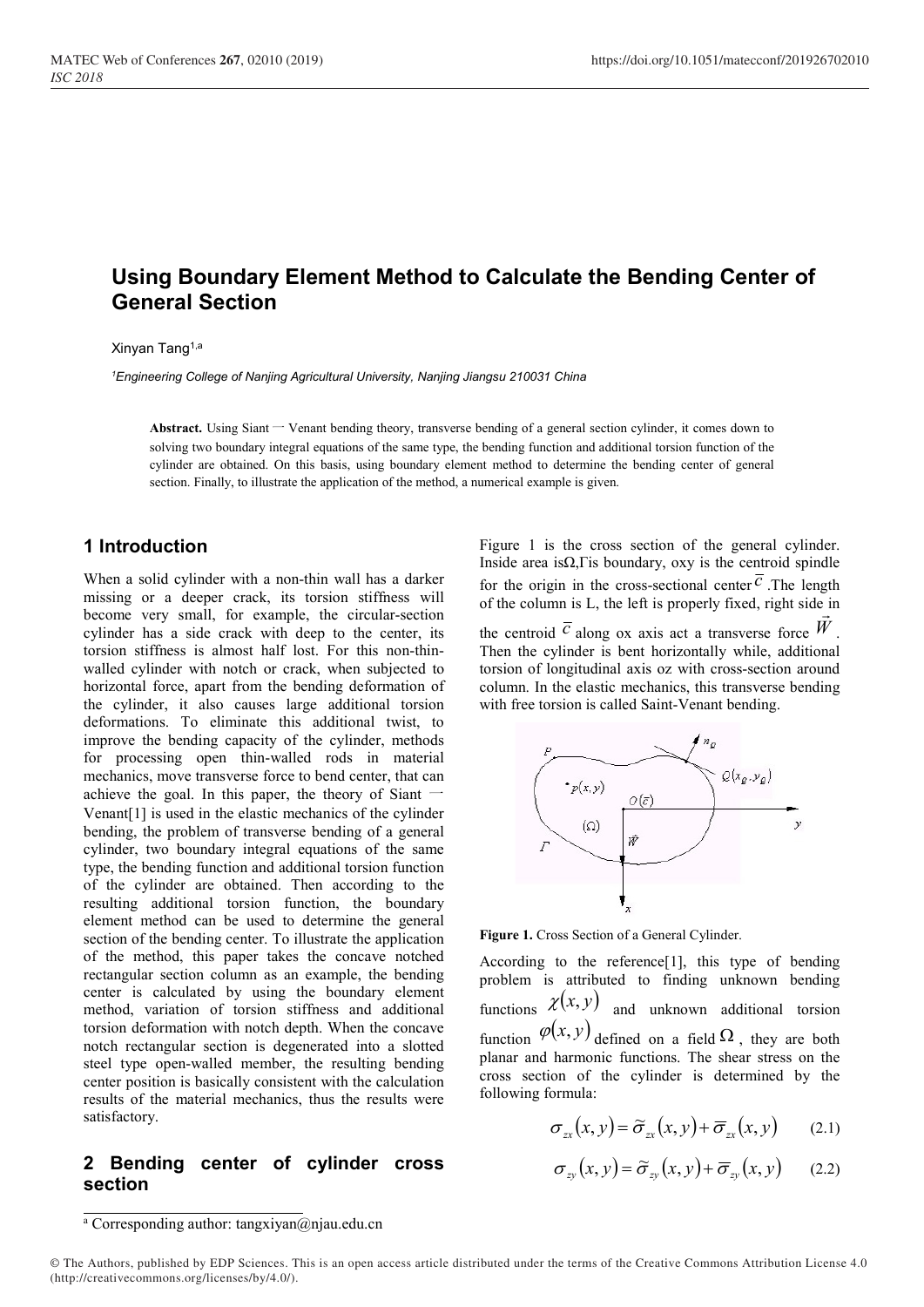# Using Boundary Element Method to Calculate the Bending Center of General Section

#### Xinyan Tang1,a

<sup>1</sup>Engineering College of Nanjing Agricultural University, Nanjing Jiangsu 210031 China

Abstract. Using Siant — Venant bending theory, transverse bending of a general section cylinder, it comes down to solving two boundary integral equations of the same type, the bending function and additional torsion function of the cylinder are obtained. On this basis, using boundary element method to determine the bending center of general section. Finally, to illustrate the application of the method, a numerical example is given.

## 1 Introduction

When a solid cylinder with a non-thin wall has a darker missing or a deeper crack, its torsion stiffness will become very small, for example, the circular-section cylinder has a side crack with deep to the center, its torsion stiffness is almost half lost. For this non-thinwalled cylinder with notch or crack, when subjected to horizontal force, apart from the bending deformation of the cylinder, it also causes large additional torsion deformations. To eliminate this additional twist, to improve the bending capacity of the cylinder, methods for processing open thin-walled rods in material mechanics, move transverse force to bend center, that can achieve the goal. In this paper, the theory of Siant  $-$ Venant[1] is used in the elastic mechanics of the cylinder bending, the problem of transverse bending of a general cylinder, two boundary integral equations of the same type, the bending function and additional torsion function of the cylinder are obtained. Then according to the resulting additional torsion function, the boundary element method can be used to determine the general section of the bending center. To illustrate the application of the method, this paper takes the concave notched rectangular section column as an example, the bending center is calculated by using the boundary element method, variation of torsion stiffness and additional torsion deformation with notch depth. When the concave notch rectangular section is degenerated into a slotted steel type open-walled member, the resulting bending center position is basically consistent with the calculation results of the material mechanics, thus the results were satisfactory.

#### 2 Bending center of cylinder cross section

Figure 1 is the cross section of the general cylinder. Inside area is $\Omega$ , Γis boundary, oxy is the centroid spindle for the origin in the cross-sectional center  $\overline{c}$ . The length of the column is L, the left is properly fixed, right side in

the centroid  $\overline{c}$  along ox axis act a transverse force  $\overline{W}$ . Then the cylinder is bent horizontally while, additional torsion of longitudinal axis oz with cross-section around column. In the elastic mechanics, this transverse bending with free torsion is called Saint-Venant bending.



Figure 1. Cross Section of a General Cylinder.

According to the reference[1], this type of bending problem is attributed to finding unknown bending functions  $\chi(x, y)$  and unknown additional torsion function  $\varphi(x, y)$  defined on a field  $\Omega$ , they are both planar and harmonic functions. The shear stress on the cross section of the cylinder is determined by the following formula:

$$
\sigma_{xx}(x, y) = \widetilde{\sigma}_{xx}(x, y) + \overline{\sigma}_{xx}(x, y) \qquad (2.1)
$$

$$
\sigma_{zy}(x, y) = \tilde{\sigma}_{zy}(x, y) + \overline{\sigma}_{zy}(x, y) \qquad (2.2)
$$

<sup>&</sup>lt;sup>a</sup> Corresponding author: tangxiyan@njau.edu.cn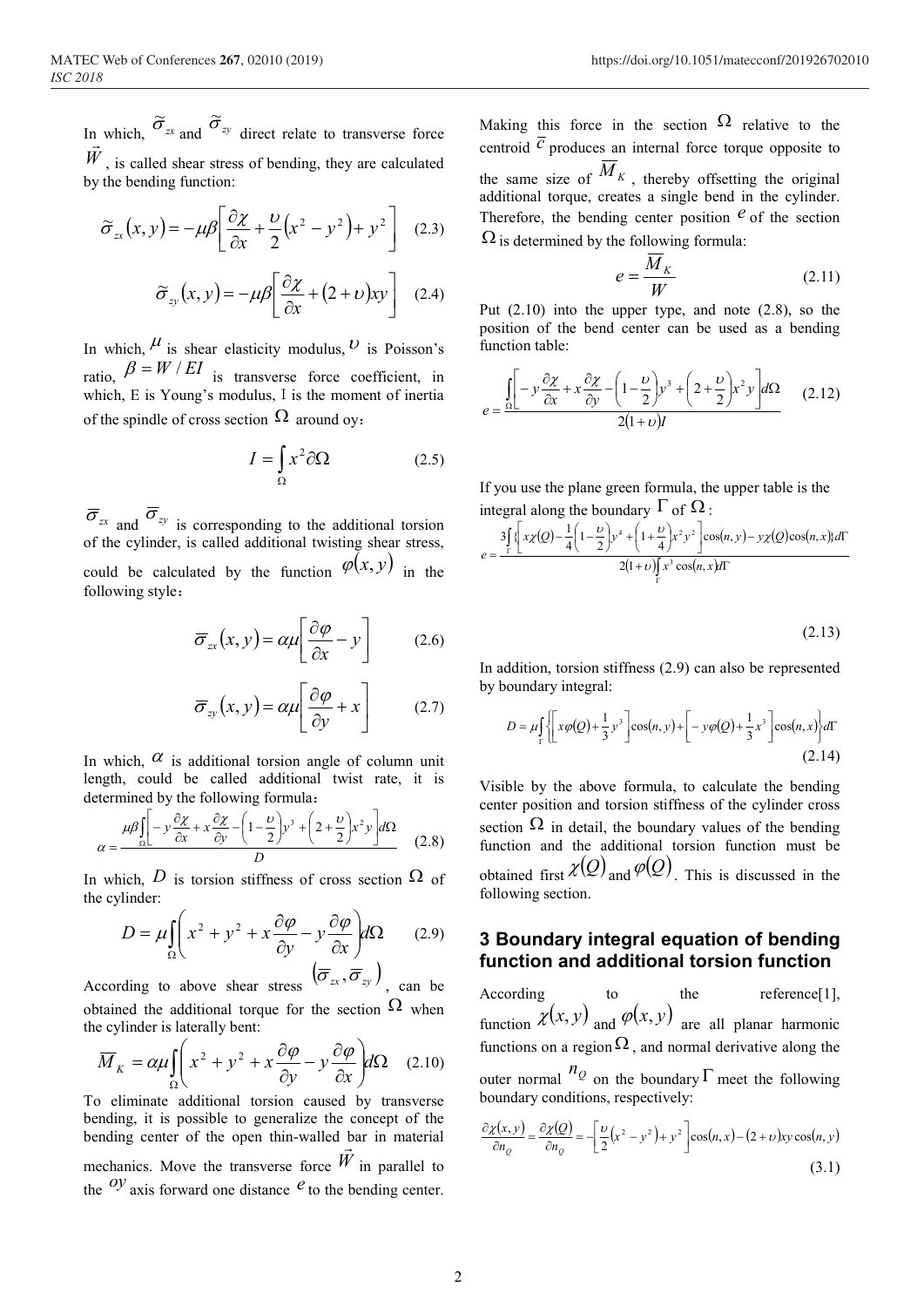In which,  $\sigma_{zx}$  $\approx$ and  $\sigma_{zy}$  $\approx$ i which,  $\int_{-\infty}^{\infty} zx$  and  $\int_{-\infty}^{\infty} zy$  direct relate to transverse force  $W$ , is called shear stress of bending, they are calculated by the bending function:

$$
\widetilde{\sigma}_{zx}(x, y) = -\mu \beta \left[ \frac{\partial \chi}{\partial x} + \frac{\nu}{2} \left( x^2 - y^2 \right) + y^2 \right] \quad (2.3)
$$

$$
\widetilde{\sigma}_{zy}(x, y) = -\mu \beta \left[ \frac{\partial \chi}{\partial x} + (2 + \upsilon) xy \right] \quad (2.4)
$$

In which,  $\mu$  is shear elasticity modulus,  $\nu$  is Poisson's ratio,  $\beta = W / EI$  is transverse force coefficient, in which, E is Young's modulus, I is the moment of inertia of the spindle of cross section  $\Omega$  around oy:

$$
I = \int_{\Omega} x^2 \partial \Omega \tag{2.5}
$$

 $\overline{\sigma}_{zx}$  and  $\overline{\sigma}_{zy}$  is corresponding to the additional torsion of the cylinder, is called additional twisting shear stress, could be calculated by the function  $\varphi(x, y)$  in the  $\sigma_{xx}(x, y) = -\mu \rho \left[ \frac{\partial y}{\partial x} + \frac{1}{2}(x - y) + y \right]$  (2.3)  $\Omega$  is determined by the following formula:<br>  $\tilde{\sigma}_{xy}(x, y) = -\mu \rho \left[ \frac{\partial y}{\partial x} + (2 + v)xy \right]$  (2.4)  $e = \frac{\overline{M}_K}{W}$ <br>
In which,  $\mu$  is shear elasticity modulus,  $D$  is Po  $I = \int_{\Omega} x^2 \partial \Omega$  (2.10) into the upper type, and note (position of the bend center can be used a<br>
elasticity modulus, *U* is Poisson's<br>
interior able:<br>
stransverse force coefficient, in<br>
section Ω around oy:<br>  $I = \int_{\Omega}$ 

$$
\overline{\sigma}_{xx}(x, y) = \alpha \mu \left[ \frac{\partial \varphi}{\partial x} - y \right] \qquad (2.6)
$$

$$
\overline{\sigma}_{zy}(x, y) = \alpha \mu \left[ \frac{\partial \varphi}{\partial y} + x \right] \qquad (2.7)
$$

In which,  $\alpha$  is additional torsion angle of column unit length, could be called additional twist rate, it is determined by the following formula:

$$
\alpha = \frac{\mu\beta \left[ -y\frac{\partial \chi}{\partial x} + x\frac{\partial \chi}{\partial y} - \left( 1 - \frac{v}{2} \right) y^3 + \left( 2 + \frac{v}{2} \right) x^2 y \right] d\Omega}{D}
$$
 (2.8)

In which, D is torsion stiffness of cross section  $\Omega$  of the cylinder:

$$
D = \mu \int_{\Omega} \left( x^2 + y^2 + x \frac{\partial \varphi}{\partial y} - y \frac{\partial \varphi}{\partial x} \right) d\Omega \qquad (2.9)
$$

According to above shear stress  $(\overline{\sigma}_{zx}, \overline{\sigma}_{zy})$ , can be obtained the additional torque for the section  $\Omega$  when the cylinder is laterally bent:

$$
\overline{M}_K = \alpha \mu \int_{\Omega} \left( x^2 + y^2 + x \frac{\partial \varphi}{\partial y} - y \frac{\partial \varphi}{\partial x} \right) d\Omega \quad (2.10)
$$

To eliminate additional torsion caused by transverse bending, it is possible to generalize the concept of the bending center of the open thin-walled bar in material mechanics. Move the transverse force  $W$  in parallel to the  $Oy$  axis forward one distance  $e$  to the bending center.

of Conferences 267, 02010 (2019)<br>
https://doi.org/10.1051/matecconf/2019267020<br>
ch,  $\tilde{\sigma}_{xy}$  and  $\tilde{\sigma}_{zy}$  direct relate to transverse force<br>
called shear stress of bending, they are calculated<br>
the same size of  $\overline{M$ rences 267, 02010 (2019)<br>
https://doi.org/10.1051/matecconf/201926702010<br>
https://doi.org/10.1051/matecconf/201926702010<br>
and  $\tilde{\sigma}_y$  direct relate to transverse force<br>
centroid  $\overline{c}$  produces an internal force torqu Making this force in the section  $\Omega$  relative to the centroid  $\overline{c}$  produces an internal force torque opposite to the same size of  $M_K$ , thereby offsetting the original additional torque, creates a single bend in the cylinder. Therefore, the bending center position  $\epsilon$  of the section  $\Omega$  is determined by the following formula: Voltaiong/10.1051/matecconf/201926702010<br>
the section  $\Omega$  relative to the<br>
internal force torque opposite to<br>
, thereby offsetting the original<br>
tes a single bend in the cylinder.<br>
g center position  $e$  of the section<br>
f the strategy of the space of  $\frac{\partial z}{\partial t}$  responses an internal force torque opposite to  $\frac{\partial z}{\partial t}$  reduces an internal force torque opposite to  $\frac{\partial z}{\partial t}$  is the bending center position  $e$  of the section experiment , thereby offsetting the original<br>
tes a single bend in the cylinder.<br>
g center position  $e^{\theta}$  of the section<br>
following formula:<br>  $= \frac{\overline{M}_K}{W}$  (2.11)<br>
oper type, and note (2.8), so the<br>
center can be used as a bendi

$$
e = \frac{\overline{M}_K}{W} \tag{2.11}
$$

Put (2.10) into the upper type, and note (2.8), so the position of the bend center can be used as a bending function table:

$$
e = \frac{\int_{\Omega} \left[ -y \frac{\partial \chi}{\partial x} + x \frac{\partial \chi}{\partial y} - \left( 1 - \frac{\nu}{2} \right) y^3 + \left( 2 + \frac{\nu}{2} \right) x^2 y \right] d\Omega}{2(1 + \nu)I}
$$
 (2.12)

If you use the plane green formula, the upper table is the integral along the boundary  $\Gamma$  of  $\Omega$ :

In addition, 
$$
f(x, y) = \frac{1}{2} \left[ \int_{-\infty}^{\infty} x^2 \left[ \left( \frac{x^2}{2} + \frac{y^2}{2} \right) \right] \cos(n, y) + \left( \frac{x^2}{2} + \frac{y^2}{2} \right) \right] \cos(n, x) \, dx
$$
 is given by the equation of the form  $e = \frac{\sin \left( -\frac{y}{2} \frac{\partial x}{\partial x} + x \frac{\partial y}{\partial y} - \left( 1 - \frac{y}{2} \right) y^3 + \left( 2 + \frac{y}{2} \right) x^2 y \right] d\Omega}{2(1 + v) I}$ . If you use the plane green formula, the upper table is the integral along the boundary  $\Gamma$  of  $\Omega$ :\n
$$
e = \frac{3 \int_{\Gamma} \left\{ \frac{x}{2} (0) - \frac{1}{4} \left( 1 - \frac{y}{2} \right) y^4 + \left( 1 + \frac{y}{4} \right) x^2 y^2 \right\} \cos(n, y) - y \times (0) \cos(n, x) d\Gamma}{2(1 + v) \int_{\Gamma} x^3 \cos(n, x) d\Gamma}
$$
\n
$$
= \frac{1}{2} \left[ \frac{1}{2} \cos(n, y) + \left( \frac{y}{2} \right) \cos(n, y) \right] \cos(n, x) \, dx \quad (2.13)
$$
\nIn addition, torsion stiffness (2.9) can also be represented by boundary integral:\n
$$
D = \mu \int_{\Gamma} \left\{ \left[ x \varphi(0) + \frac{1}{3} y^3 \right] \cos(n, y) + \left[ -y \varphi(0) + \frac{1}{3} x^3 \right] \cos(n, x) \right\} d\Gamma
$$
\n
$$
= \frac{1}{2} \left[ \frac{1}{2} \cos(n, y) + \left( \frac{1}{3} \cos(n, y) \right) \right] d\Gamma
$$
\n
$$
= \frac{1}{2} \left[ \frac{1}{2} \cos(n, y) + \left( \frac{1}{3} \cos(n, y) \right) \right] d\Gamma
$$
\n
$$
= \frac{1}{2} \left[ \frac{1}{2} \cos(n, y) + \left( \frac{1}{3} \cos(n, y) \right) \right] d\Gamma
$$

$$
(2.13)
$$

In addition, torsion stiffness (2.9) can also be represented by boundary integral:

$$
D = \mu \int_{\Gamma} \left\{ \left[ x \varphi(Q) + \frac{1}{3} y^3 \right] \cos(n, y) + \left[ -y \varphi(Q) + \frac{1}{3} x^3 \right] \cos(n, x) \right\} d\Gamma
$$
\n(2.14)

Visible by the above formula, to calculate the bending center position and torsion stiffness of the cylinder cross section  $\Omega$  in detail, the boundary values of the bending function and the additional torsion function must be obtained first  $\chi(Q)$  and  $\varphi(Q)$ . This is discussed in the following section.

#### 3 Boundary integral equation of bending function and additional torsion function

According to the reference<sup>[1]</sup>, function  $\chi(x, y)$  and  $\varphi(x, y)$  are all planar harmonic functions on a region  $\Omega$ , and normal derivative along the outer normal  $n_Q$  on the boundary  $\Gamma$  meet the following boundary conditions, respectively: y  $\left[\cos(n, y) + \left[-\frac{y\varphi(0) + \frac{1}{3}x^3\right] \cos(n, x)}{3}\right]^{d1}$ <br>
(2.14)<br>
e formula, to calculate the bending<br>
orsion stiffness of the cylinder cross<br>
the boundary values of the bending<br>
dditional torsion function must be<br>
egral e

$$
\frac{\partial \chi(x, y)}{\partial n_Q} = \frac{\partial \chi(Q)}{\partial n_Q} = -\left[\frac{\nu}{2}(x^2 - y^2) + y^2\right] \cos(n, x) - (2 + \nu)xy \cos(n, y)
$$
\n(3.1)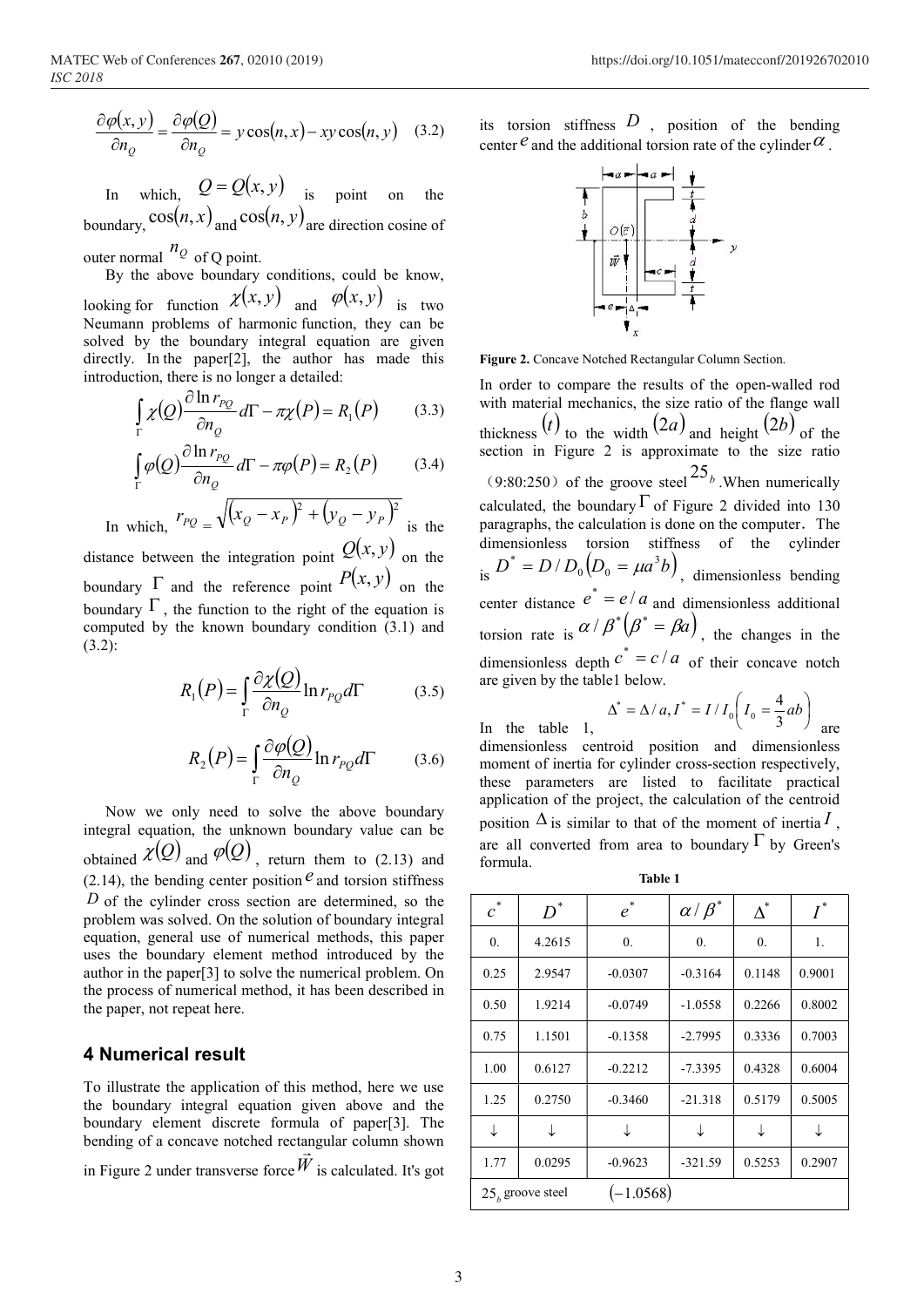$$
\frac{\partial \varphi(x, y)}{\partial n_Q} = \frac{\partial \varphi(Q)}{\partial n_Q} = y \cos(n, x) - xy \cos(n, y) \quad (3.2)
$$

In which,  $Q = Q(x, y)$  is point on the boundary,  $cos(n, x)$  and  $cos(n, y)$  are direction cosine of

outer normal  $n_Q$  of Q point.

By the above boundary conditions, could be know, looking for function  $\chi(x, y)$  and  $\varphi(x, y)$  is two Neumann problems of harmonic function, they can be solved by the boundary integral equation are given directly. In the paper[2], the author has made this introduction, there is no longer a detailed:

$$
\int_{\Gamma} \chi(Q) \frac{\partial \ln r_{PQ}}{\partial n_Q} d\Gamma - \pi \chi(P) = R_1(P) \tag{3.3}
$$

$$
\int_{\Gamma} \varphi(Q) \frac{\partial \ln r_{PQ}}{\partial n_Q} d\Gamma - \pi \varphi(P) = R_2(P) \tag{3.4}
$$

In which, 
$$
r_{PQ} = \sqrt{(x_Q - x_P)^2 + (y_Q - y_P)^2}
$$
 is the

distance between the integration point  $Q(x, y)$  on the  $P^*$ boundary  $\Gamma$  and the reference point  $P(x, y)$  on the is  $P(x, y)$ boundary  $\Gamma$ , the function to the right of the equation is computed by the known boundary condition (3.1) and (3.2):

$$
R_1(P) = \int_{\Gamma} \frac{\partial \chi(Q)}{\partial n_Q} \ln r_{PQ} d\Gamma \tag{3.5}
$$

$$
R_2(P) = \int_{\Gamma} \frac{\partial \varphi(Q)}{\partial n_Q} \ln r_{PQ} d\Gamma \qquad (3.6)
$$

Now we only need to solve the above boundary integral equation, the unknown boundary value can be obtained  $\chi(Q)$  and  $\varphi(Q)$ , return them to (2.13) and (2.14), the bending center position  $e^{\theta}$  and torsion stiffness  $D$  of the cylinder cross section are determined, so the problem was solved. On the solution of boundary integral equation, general use of numerical methods, this paper uses the boundary element method introduced by the author in the paper[3] to solve the numerical problem. On the process of numerical method, it has been described in the paper, not repeat here.

### 4 Numerical result

To illustrate the application of this method, here we use the boundary integral equation given above and the boundary element discrete formula of paper[3]. The bending of a concave notched rectangular column shown in Figure 2 under transverse force  $W$  is calculated. It's got

its torsion stiffness  $D$ , position of the bending center  $e$  and the additional torsion rate of the cylinder  $\alpha$ .



Figure 2. Concave Notched Rectangular Column Section.

onferences 267, 02010 (2019)<br>  $\frac{\partial \varphi(Q)}{\partial n_Q} = y \cos(n, x) - xy \cos(n, y)$  (3.2) its torsion stiffness D, position of the bending<br>  $\cos(n, x)$  is point on the<br>  $\cos(n, x)$  is point on the  $Q = Q(x, y)$  is point on the  $\frac{1 - \alpha x - 4 \alpha x}{4}$ <br>  $\cos(n$ onferences 267.02010 (2019)<br>  $=\frac{\partial \varphi(Q)}{\partial n_0} = y \cos(n, x) - xy \cos(n, y)$  (3.2) its torsion stiffness  $D$ , position of the bending<br>  $\cos(n, x)$  and  $\cos(n, x)$  are direction cosine of<br>  $\sinh$ ,  $Q = Q(x, y)$  is point on the<br>  $\cos(n, x)$  and  $\cos(n, y$  $=\sqrt{(x_Q-x_P)^2+(y_Q-y_P)^2}$  is the paragraphs, the calculation is done on the computer. The bion  $\chi(x, y)$  and  $\varphi(x, y)$  is two<br>
so of harmonic function, they can be<br>
so of harmonic function, they can be<br>
so of harmonic function, they can be<br>
so of harmonic function are given<br>
so apper [2], the author has made th per[2], the author has made this<br>
is no longer a detailed:<br>
In order to compare the results of the<br>  $\frac{r_{PQ}}{r} d\Gamma - \pi \chi(P) = R_1(P)$  (3.3) with material mechanics, the size ratio of<br>
the width, the width of the size ratio of In order to compare the results of the open-walled rod with material mechanics, the size ratio of the flange wall thickness (t) to the width  $(2a)$  and height  $(2b)$  of the section in Figure 2 is approximate to the size ratio  $(9:80:250)$  of the groove steel  $25<sub>b</sub>$ . When numerically calculated, the boundary  $\Gamma$  of Figure 2 divided into 130 dimensionless torsion stiffness of the cylinder is  $D^* = D/D_0(D_0 = \mu a^3 b)$ , dimensionless bending  $j^* = D/D_0(D_0 = \mu a^3 b)$ , dimensionless bending center distance  $e^* = e/a$  and dimensionless additional torsion rate is  $\alpha / \beta^* (\beta^* = \beta a)$ , the changes in the dimensionless depth  $c^* = c/a$  of their concave notch are given by the table1 below.

$$
\Delta^* = \Delta / a, I^* = I / I_0 \left( I_0 = \frac{4}{3} ab \right)
$$

In the table 1, are dimensionless centroid position and dimensionless moment of inertia for cylinder cross-section respectively, these parameters are listed to facilitate practical application of the project, the calculation of the centroid position  $\Delta$  is similar to that of the moment of inertia  $I$ , are all converted from area to boundary  $\Gamma$  by Green's formula.

Table 1

| $\ast$<br>$\mathcal{C}_{0}$ | $\boldsymbol{D}^*$ | $\ast$<br>e | $\alpha/\beta^*$ | $\Lambda^*$ | $I^*$  |
|-----------------------------|--------------------|-------------|------------------|-------------|--------|
| 0.                          | 4.2615             | 0.          | 0.               | 0.          | 1.     |
| 0.25                        | 2.9547             | $-0.0307$   | $-0.3164$        | 0.1148      | 0.9001 |
| 0.50                        | 1.9214             | $-0.0749$   | $-1.0558$        | 0.2266      | 0.8002 |
| 0.75                        | 1.1501             | $-0.1358$   | $-2.7995$        | 0.3336      | 0.7003 |
| 1.00                        | 0.6127             | $-0.2212$   | $-7.3395$        | 0.4328      | 0.6004 |
| 1.25                        | 0.2750             | $-0.3460$   | $-21.318$        | 0.5179      | 0.5005 |
| ↓                           | ↓                  | ↓           | ↓                | ↓           | ↓      |
| 1.77                        | 0.0295             | $-0.9623$   | $-321.59$        | 0.5253      | 0.2907 |
| $25h$ groove steel          |                    | $(-1.0568)$ |                  |             |        |